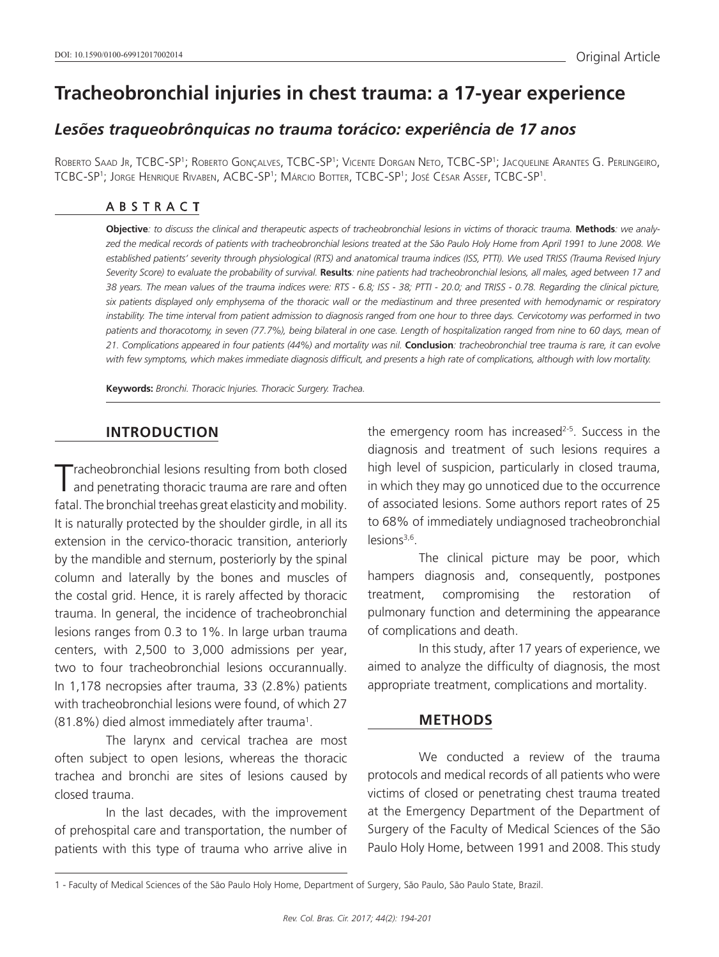# **Tracheobronchial injuries in chest trauma: a 17-year experience**

# *Lesões traqueobrônquicas no trauma torácico: experiência de 17 anos*

Roberto Saad Jr, TCBC-SP<sup>1</sup>; Roberto Gonçalves, TCBC-SP<sup>1</sup>; Vicente Dorgan Neto, TCBC-SP<sup>1</sup>; Jacqueline Arantes G. Perlingeiro, TCBC-SP<sup>1</sup>; Jorge Henrique Rivaben, ACBC-SP<sup>1</sup>; Márcio Botter, TCBC-SP<sup>1</sup>; José César Assef, TCBC-SP<sup>1</sup>.

### ABSTRACT

**Objective***: to discuss the clinical and therapeutic aspects of tracheobronchial lesions in victims of thoracic trauma.* **Methods***: we analy‑ zed the medical records of patients with tracheobronchial lesions treated at the São Paulo Holy Home from April 1991 to June 2008. We established patients' severity through physiological (RTS) and anatomical trauma indices (ISS, PTTI). We used TRISS (Trauma Revised Injury*  Severity Score) to evaluate the probability of survival. Results: nine patients had tracheobronchial lesions, all males, aged between 17 and *38 years. The mean values of the trauma indices were: RTS ‑ 6.8; ISS ‑ 38; PTTI ‑ 20.0; and TRISS ‑ 0.78. Regarding the clinical picture, six patients displayed only emphysema of the thoracic wall or the mediastinum and three presented with hemodynamic or respiratory instability. The time interval from patient admission to diagnosis ranged from one hour to three days. Cervicotomy was performed in two*  patients and thoracotomy, in seven (77.7%), being bilateral in one case. Length of hospitalization ranged from nine to 60 days, mean of *21. Complications appeared in four patients (44%) and mortality was nil.* **Conclusion***: tracheobronchial tree trauma is rare, it can evolve with few symptoms, which makes immediate diagnosis difficult, and presents a high rate of complications, although with low mortality.*

**Keywords:** *Bronchi. Thoracic Injuries. Thoracic Surgery. Trachea.*

### **INTRODUCTION**

Tracheobronchial lesions resulting from both closed<br>and penetrating thoracic trauma are rare and often fatal. The bronchial treehas great elasticity and mobility. It is naturally protected by the shoulder girdle, in all its extension in the cervico-thoracic transition, anteriorly by the mandible and sternum, posteriorly by the spinal column and laterally by the bones and muscles of the costal grid. Hence, it is rarely affected by thoracic trauma. In general, the incidence of tracheobronchial lesions ranges from 0.3 to 1%. In large urban trauma centers, with 2,500 to 3,000 admissions per year, two to four tracheobronchial lesions occurannually. In 1,178 necropsies after trauma, 33 (2.8%) patients with tracheobronchial lesions were found, of which 27 (81.8%) died almost immediately after trauma<sup>1</sup>.

The larynx and cervical trachea are most often subject to open lesions, whereas the thoracic trachea and bronchi are sites of lesions caused by closed trauma.

In the last decades, with the improvement of prehospital care and transportation, the number of patients with this type of trauma who arrive alive in the emergency room has increased<sup>2-5</sup>. Success in the diagnosis and treatment of such lesions requires a high level of suspicion, particularly in closed trauma, in which they may go unnoticed due to the occurrence of associated lesions. Some authors report rates of 25 to 68% of immediately undiagnosed tracheobronchial  $leq$ ions<sup>3,6</sup>

The clinical picture may be poor, which hampers diagnosis and, consequently, postpones treatment, compromising the restoration of pulmonary function and determining the appearance of complications and death.

In this study, after 17 years of experience, we aimed to analyze the difficulty of diagnosis, the most appropriate treatment, complications and mortality.

### **METHODS**

We conducted a review of the trauma protocols and medical records of all patients who were victims of closed or penetrating chest trauma treated at the Emergency Department of the Department of Surgery of the Faculty of Medical Sciences of the São Paulo Holy Home, between 1991 and 2008. This study

<sup>1 -</sup> Faculty of Medical Sciences of the São Paulo Holy Home, Department of Surgery, São Paulo, São Paulo State, Brazil.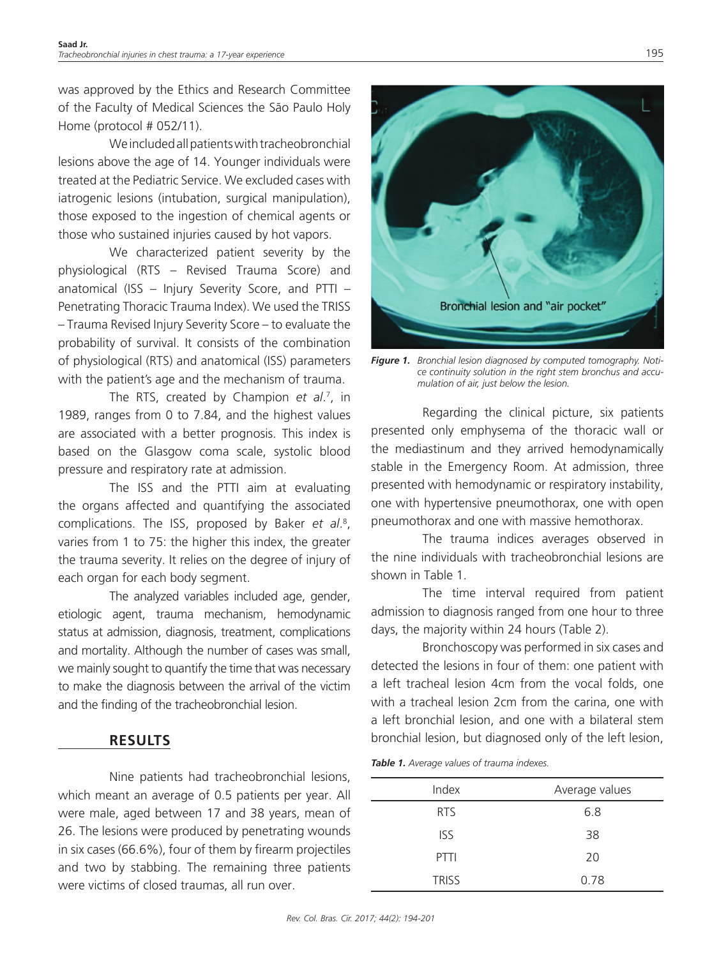was approved by the Ethics and Research Committee of the Faculty of Medical Sciences the São Paulo Holy Home (protocol # 052/11).

We included all patients with tracheobronchial lesions above the age of 14. Younger individuals were treated at the Pediatric Service. We excluded cases with iatrogenic lesions (intubation, surgical manipulation), those exposed to the ingestion of chemical agents or those who sustained injuries caused by hot vapors.

We characterized patient severity by the physiological (RTS – Revised Trauma Score) and anatomical (ISS – Injury Severity Score, and PTTI – Penetrating Thoracic Trauma Index). We used the TRISS – Trauma Revised Injury Severity Score – to evaluate the probability of survival. It consists of the combination of physiological (RTS) and anatomical (ISS) parameters with the patient's age and the mechanism of trauma.

The RTS, created by Champion *et al*. 7 , in 1989, ranges from 0 to 7.84, and the highest values are associated with a better prognosis. This index is based on the Glasgow coma scale, systolic blood pressure and respiratory rate at admission.

The ISS and the PTTI aim at evaluating the organs affected and quantifying the associated complications. The ISS, proposed by Baker *et al*. 8 , varies from 1 to 75: the higher this index, the greater the trauma severity. It relies on the degree of injury of each organ for each body segment.

The analyzed variables included age, gender, etiologic agent, trauma mechanism, hemodynamic status at admission, diagnosis, treatment, complications and mortality. Although the number of cases was small, we mainly sought to quantify the time that was necessary to make the diagnosis between the arrival of the victim and the finding of the tracheobronchial lesion.

### **RESULTS**

Nine patients had tracheobronchial lesions, which meant an average of 0.5 patients per year. All were male, aged between 17 and 38 years, mean of 26. The lesions were produced by penetrating wounds in six cases (66.6%), four of them by firearm projectiles and two by stabbing. The remaining three patients were victims of closed traumas, all run over.



*Figure 1. Bronchial lesion diagnosed by computed tomography. Noti‑ ce continuity solution in the right stem bronchus and accu‑ mulation of air, just below the lesion.*

Regarding the clinical picture, six patients presented only emphysema of the thoracic wall or the mediastinum and they arrived hemodynamically stable in the Emergency Room. At admission, three presented with hemodynamic or respiratory instability, one with hypertensive pneumothorax, one with open pneumothorax and one with massive hemothorax.

The trauma indices averages observed in the nine individuals with tracheobronchial lesions are shown in Table 1.

The time interval required from patient admission to diagnosis ranged from one hour to three days, the majority within 24 hours (Table 2).

Bronchoscopy was performed in six cases and detected the lesions in four of them: one patient with a left tracheal lesion 4cm from the vocal folds, one with a tracheal lesion 2cm from the carina, one with a left bronchial lesion, and one with a bilateral stem bronchial lesion, but diagnosed only of the left lesion,

*Table 1. Average values of trauma indexes.*

| Index        | Average values |
|--------------|----------------|
| <b>RTS</b>   | 6.8            |
| <b>ISS</b>   | 38             |
| <b>PTTI</b>  | 20             |
| <b>TRISS</b> | 0.78           |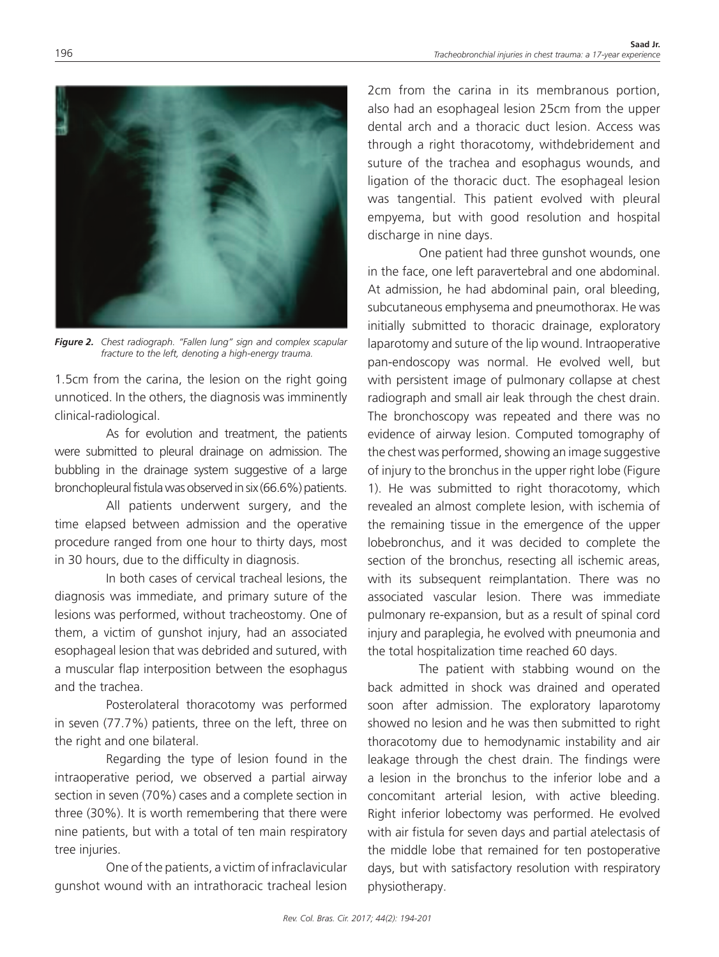

*Figure 2. Chest radiograph. "Fallen lung" sign and complex scapular fracture to the left, denoting a high-energy trauma.*

1.5cm from the carina, the lesion on the right going unnoticed. In the others, the diagnosis was imminently clinical-radiological.

As for evolution and treatment, the patients were submitted to pleural drainage on admission. The bubbling in the drainage system suggestive of a large bronchopleural fistula was observed in six (66.6%) patients.

All patients underwent surgery, and the time elapsed between admission and the operative procedure ranged from one hour to thirty days, most in 30 hours, due to the difficulty in diagnosis.

In both cases of cervical tracheal lesions, the diagnosis was immediate, and primary suture of the lesions was performed, without tracheostomy. One of them, a victim of gunshot injury, had an associated esophageal lesion that was debrided and sutured, with a muscular flap interposition between the esophagus and the trachea.

Posterolateral thoracotomy was performed in seven (77.7%) patients, three on the left, three on the right and one bilateral.

Regarding the type of lesion found in the intraoperative period, we observed a partial airway section in seven (70%) cases and a complete section in three (30%). It is worth remembering that there were nine patients, but with a total of ten main respiratory tree injuries.

One of the patients, a victim of infraclavicular gunshot wound with an intrathoracic tracheal lesion 2cm from the carina in its membranous portion, also had an esophageal lesion 25cm from the upper dental arch and a thoracic duct lesion. Access was through a right thoracotomy, withdebridement and suture of the trachea and esophagus wounds, and ligation of the thoracic duct. The esophageal lesion was tangential. This patient evolved with pleural empyema, but with good resolution and hospital discharge in nine days.

One patient had three gunshot wounds, one in the face, one left paravertebral and one abdominal. At admission, he had abdominal pain, oral bleeding, subcutaneous emphysema and pneumothorax. He was initially submitted to thoracic drainage, exploratory laparotomy and suture of the lip wound. Intraoperative pan-endoscopy was normal. He evolved well, but with persistent image of pulmonary collapse at chest radiograph and small air leak through the chest drain. The bronchoscopy was repeated and there was no evidence of airway lesion. Computed tomography of the chest was performed, showing an image suggestive of injury to the bronchus in the upper right lobe (Figure 1). He was submitted to right thoracotomy, which revealed an almost complete lesion, with ischemia of the remaining tissue in the emergence of the upper lobebronchus, and it was decided to complete the section of the bronchus, resecting all ischemic areas, with its subsequent reimplantation. There was no associated vascular lesion. There was immediate pulmonary re-expansion, but as a result of spinal cord injury and paraplegia, he evolved with pneumonia and the total hospitalization time reached 60 days.

The patient with stabbing wound on the back admitted in shock was drained and operated soon after admission. The exploratory laparotomy showed no lesion and he was then submitted to right thoracotomy due to hemodynamic instability and air leakage through the chest drain. The findings were a lesion in the bronchus to the inferior lobe and a concomitant arterial lesion, with active bleeding. Right inferior lobectomy was performed. He evolved with air fistula for seven days and partial atelectasis of the middle lobe that remained for ten postoperative days, but with satisfactory resolution with respiratory physiotherapy.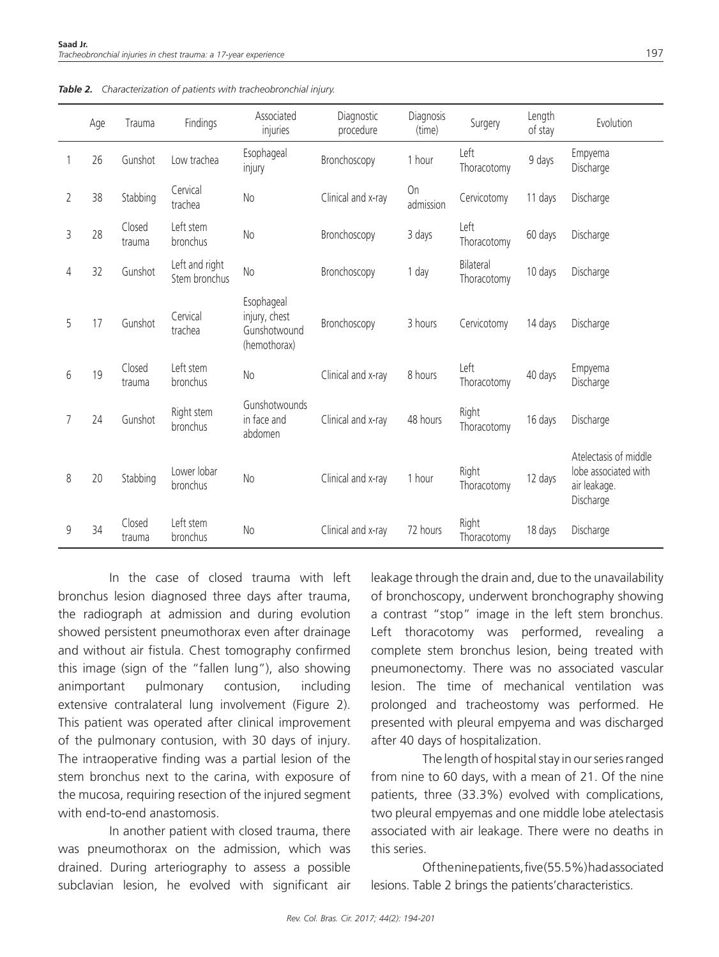|   | Age | Trauma           | Findings                        | Associated<br>injuries                                      | Diagnostic<br>procedure | Diagnosis<br>(time) | Surgery                  | Length<br>of stay | Evolution                                                                  |
|---|-----|------------------|---------------------------------|-------------------------------------------------------------|-------------------------|---------------------|--------------------------|-------------------|----------------------------------------------------------------------------|
|   | 26  | Gunshot          | Low trachea                     | Esophageal<br>injury                                        | Bronchoscopy            | 1 hour              | Left<br>Thoracotomy      | 9 days            | Empyema<br>Discharge                                                       |
| 2 | 38  | Stabbing         | Cervical<br>trachea             | N <sub>o</sub>                                              | Clinical and x-ray      | On<br>admission     | Cervicotomy              | 11 days           | Discharge                                                                  |
| 3 | 28  | Closed<br>trauma | Left stem<br>bronchus           | <b>No</b>                                                   | Bronchoscopy            | 3 days              | Left<br>Thoracotomy      | 60 days           | Discharge                                                                  |
| 4 | 32  | Gunshot          | Left and right<br>Stem bronchus | No                                                          | Bronchoscopy            | 1 day               | Bilateral<br>Thoracotomy | 10 days           | Discharge                                                                  |
| 5 | 17  | Gunshot          | Cervical<br>trachea             | Esophageal<br>injury, chest<br>Gunshotwound<br>(hemothorax) | Bronchoscopy            | 3 hours             | Cervicotomy              | 14 days           | Discharge                                                                  |
| 6 | 19  | Closed<br>trauma | Left stem<br>bronchus           | N <sub>o</sub>                                              | Clinical and x-ray      | 8 hours             | Left<br>Thoracotomy      | 40 days           | Empyema<br>Discharge                                                       |
| 7 | 24  | Gunshot          | Right stem<br>bronchus          | Gunshotwounds<br>in face and<br>abdomen                     | Clinical and x-ray      | 48 hours            | Right<br>Thoracotomy     | 16 days           | Discharge                                                                  |
| 8 | 20  | Stabbing         | Lower Jobar<br>bronchus         | N <sub>o</sub>                                              | Clinical and x-ray      | 1 hour              | Right<br>Thoracotomy     | 12 days           | Atelectasis of middle<br>lobe associated with<br>air leakage.<br>Discharge |
| 9 | 34  | Closed<br>trauma | Left stem<br>bronchus           | N <sub>o</sub>                                              | Clinical and x-ray      | 72 hours            | Right<br>Thoracotomy     | 18 days           | Discharge                                                                  |

|  | Table 2. Characterization of patients with tracheobronchial injury. |  |  |  |  |
|--|---------------------------------------------------------------------|--|--|--|--|
|--|---------------------------------------------------------------------|--|--|--|--|

In the case of closed trauma with left bronchus lesion diagnosed three days after trauma, the radiograph at admission and during evolution showed persistent pneumothorax even after drainage and without air fistula. Chest tomography confirmed this image (sign of the "fallen lung"), also showing animportant pulmonary contusion, including extensive contralateral lung involvement (Figure 2). This patient was operated after clinical improvement of the pulmonary contusion, with 30 days of injury. The intraoperative finding was a partial lesion of the stem bronchus next to the carina, with exposure of the mucosa, requiring resection of the injured segment with end-to-end anastomosis.

In another patient with closed trauma, there was pneumothorax on the admission, which was drained. During arteriography to assess a possible subclavian lesion, he evolved with significant air leakage through the drain and, due to the unavailability of bronchoscopy, underwent bronchography showing a contrast "stop" image in the left stem bronchus. Left thoracotomy was performed, revealing a complete stem bronchus lesion, being treated with pneumonectomy. There was no associated vascular lesion. The time of mechanical ventilation was prolonged and tracheostomy was performed. He presented with pleural empyema and was discharged after 40 days of hospitalization.

The length of hospital stay in our series ranged from nine to 60 days, with a mean of 21. Of the nine patients, three (33.3%) evolved with complications, two pleural empyemas and one middle lobe atelectasis associated with air leakage. There were no deaths in this series.

Of the nine patients, five (55.5%) had associated lesions. Table 2 brings the patients'characteristics.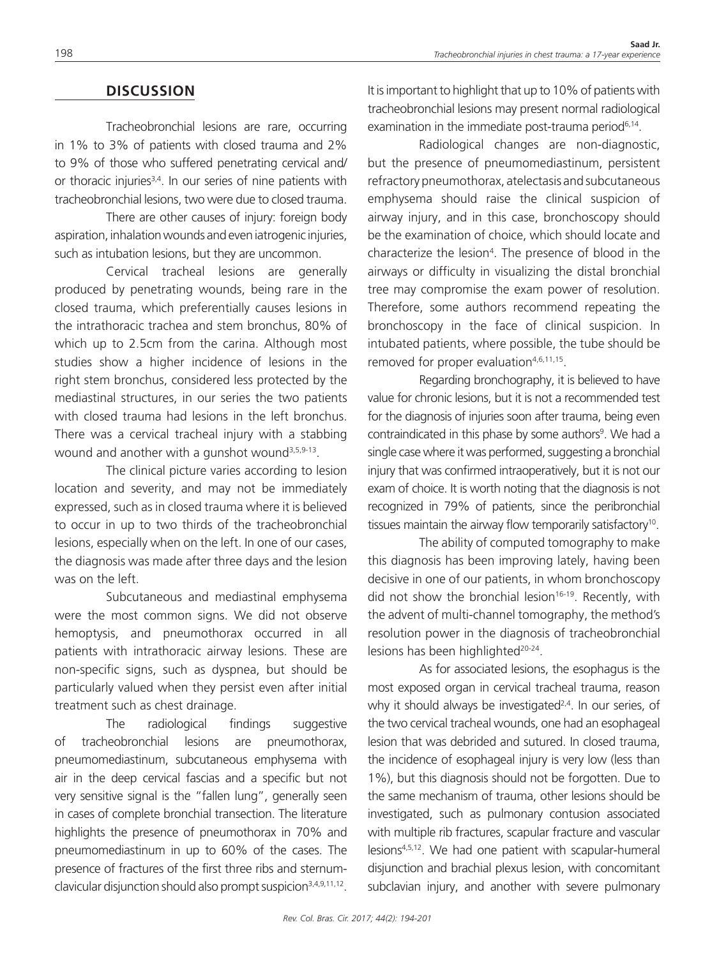#### **Saad Jr.** 198 *Tracheobronchial injuries in chest trauma: a 17-year experience*

### **DISCUSSION**

Tracheobronchial lesions are rare, occurring in 1% to 3% of patients with closed trauma and 2% to 9% of those who suffered penetrating cervical and/ or thoracic injuries<sup>3,4</sup>. In our series of nine patients with tracheobronchial lesions, two were due to closed trauma.

There are other causes of injury: foreign body aspiration, inhalation wounds and even iatrogenic injuries, such as intubation lesions, but they are uncommon.

Cervical tracheal lesions are generally produced by penetrating wounds, being rare in the closed trauma, which preferentially causes lesions in the intrathoracic trachea and stem bronchus, 80% of which up to 2.5cm from the carina. Although most studies show a higher incidence of lesions in the right stem bronchus, considered less protected by the mediastinal structures, in our series the two patients with closed trauma had lesions in the left bronchus. There was a cervical tracheal injury with a stabbing wound and another with a gunshot wound<sup>3,5,9-13</sup>.

The clinical picture varies according to lesion location and severity, and may not be immediately expressed, such as in closed trauma where it is believed to occur in up to two thirds of the tracheobronchial lesions, especially when on the left. In one of our cases, the diagnosis was made after three days and the lesion was on the left.

Subcutaneous and mediastinal emphysema were the most common signs. We did not observe hemoptysis, and pneumothorax occurred in all patients with intrathoracic airway lesions. These are non-specific signs, such as dyspnea, but should be particularly valued when they persist even after initial treatment such as chest drainage.

The radiological findings suggestive of tracheobronchial lesions are pneumothorax, pneumomediastinum, subcutaneous emphysema with air in the deep cervical fascias and a specific but not very sensitive signal is the "fallen lung", generally seen in cases of complete bronchial transection. The literature highlights the presence of pneumothorax in 70% and pneumomediastinum in up to 60% of the cases. The presence of fractures of the first three ribs and sternumclavicular disjunction should also prompt suspicion $3,4,9,11,12$ .

It is important to highlight that up to 10% of patients with tracheobronchial lesions may present normal radiological examination in the immediate post-trauma period<sup>6,14</sup>.

Radiological changes are non-diagnostic, but the presence of pneumomediastinum, persistent refractory pneumothorax, atelectasis and subcutaneous emphysema should raise the clinical suspicion of airway injury, and in this case, bronchoscopy should be the examination of choice, which should locate and characterize the lesion4 . The presence of blood in the airways or difficulty in visualizing the distal bronchial tree may compromise the exam power of resolution. Therefore, some authors recommend repeating the bronchoscopy in the face of clinical suspicion. In intubated patients, where possible, the tube should be removed for proper evaluation<sup>4,6,11,15</sup>.

Regarding bronchography, it is believed to have value for chronic lesions, but it is not a recommended test for the diagnosis of injuries soon after trauma, being even contraindicated in this phase by some authors<sup>9</sup>. We had a single case where it was performed, suggesting a bronchial injury that was confirmed intraoperatively, but it is not our exam of choice. It is worth noting that the diagnosis is not recognized in 79% of patients, since the peribronchial tissues maintain the airway flow temporarily satisfactory<sup>10</sup>.

The ability of computed tomography to make this diagnosis has been improving lately, having been decisive in one of our patients, in whom bronchoscopy did not show the bronchial lesion<sup>16-19</sup>. Recently, with the advent of multi-channel tomography, the method's resolution power in the diagnosis of tracheobronchial lesions has been highlighted<sup>20-24</sup>.

As for associated lesions, the esophagus is the most exposed organ in cervical tracheal trauma, reason why it should always be investigated<sup>2,4</sup>. In our series, of the two cervical tracheal wounds, one had an esophageal lesion that was debrided and sutured. In closed trauma, the incidence of esophageal injury is very low (less than 1%), but this diagnosis should not be forgotten. Due to the same mechanism of trauma, other lesions should be investigated, such as pulmonary contusion associated with multiple rib fractures, scapular fracture and vascular lesions4,5,12. We had one patient with scapular-humeral disjunction and brachial plexus lesion, with concomitant subclavian injury, and another with severe pulmonary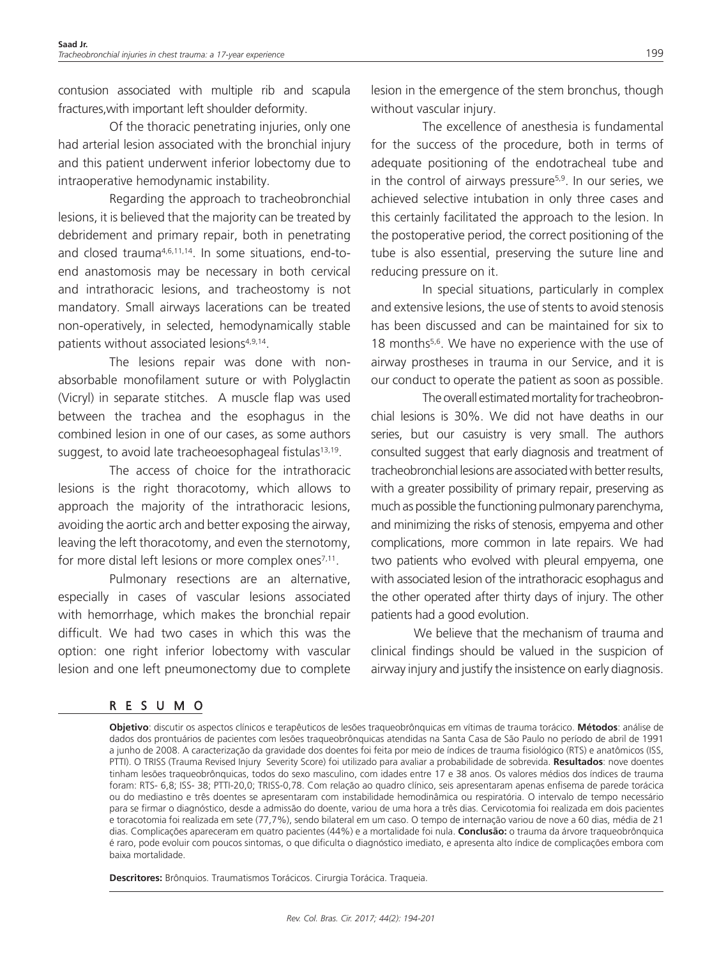contusion associated with multiple rib and scapula fractures,with important left shoulder deformity.

Of the thoracic penetrating injuries, only one had arterial lesion associated with the bronchial injury and this patient underwent inferior lobectomy due to intraoperative hemodynamic instability.

Regarding the approach to tracheobronchial lesions, it is believed that the majority can be treated by debridement and primary repair, both in penetrating and closed trauma<sup>4,6,11,14</sup>. In some situations, end-toend anastomosis may be necessary in both cervical and intrathoracic lesions, and tracheostomy is not mandatory. Small airways lacerations can be treated non-operatively, in selected, hemodynamically stable patients without associated lesions<sup>4,9,14</sup>.

The lesions repair was done with nonabsorbable monofilament suture or with Polyglactin (Vicryl) in separate stitches. A muscle flap was used between the trachea and the esophagus in the combined lesion in one of our cases, as some authors suggest, to avoid late tracheoesophageal fistulas<sup>13,19</sup>.

The access of choice for the intrathoracic lesions is the right thoracotomy, which allows to approach the majority of the intrathoracic lesions, avoiding the aortic arch and better exposing the airway, leaving the left thoracotomy, and even the sternotomy, for more distal left lesions or more complex ones<sup>7,11</sup>.

Pulmonary resections are an alternative, especially in cases of vascular lesions associated with hemorrhage, which makes the bronchial repair difficult. We had two cases in which this was the option: one right inferior lobectomy with vascular lesion and one left pneumonectomy due to complete

lesion in the emergence of the stem bronchus, though without vascular injury.

The excellence of anesthesia is fundamental for the success of the procedure, both in terms of adequate positioning of the endotracheal tube and in the control of airways pressure<sup>5,9</sup>. In our series, we achieved selective intubation in only three cases and this certainly facilitated the approach to the lesion. In the postoperative period, the correct positioning of the tube is also essential, preserving the suture line and reducing pressure on it.

In special situations, particularly in complex and extensive lesions, the use of stents to avoid stenosis has been discussed and can be maintained for six to 18 months<sup>5,6</sup>. We have no experience with the use of airway prostheses in trauma in our Service, and it is our conduct to operate the patient as soon as possible.

The overall estimated mortality for tracheobronchial lesions is 30%. We did not have deaths in our series, but our casuistry is very small. The authors consulted suggest that early diagnosis and treatment of tracheobronchial lesions are associated with better results, with a greater possibility of primary repair, preserving as much as possible the functioning pulmonary parenchyma, and minimizing the risks of stenosis, empyema and other complications, more common in late repairs. We had two patients who evolved with pleural empyema, one with associated lesion of the intrathoracic esophagus and the other operated after thirty days of injury. The other patients had a good evolution.

We believe that the mechanism of trauma and clinical findings should be valued in the suspicion of airway injury and justify the insistence on early diagnosis.

### RESUMO

**Objetivo**: discutir os aspectos clínicos e terapêuticos de lesões traqueobrônquicas em vítimas de trauma torácico. **Métodos**: análise de dados dos prontuários de pacientes com lesões traqueobrônquicas atendidas na Santa Casa de São Paulo no período de abril de 1991 a junho de 2008. A caracterização da gravidade dos doentes foi feita por meio de índices de trauma fisiológico (RTS) e anatômicos (ISS, PTTI). O TRISS (Trauma Revised Injury Severity Score) foi utilizado para avaliar a probabilidade de sobrevida. **Resultados**: nove doentes tinham lesões traqueobrônquicas, todos do sexo masculino, com idades entre 17 e 38 anos. Os valores médios dos índices de trauma foram: RTS- 6,8; ISS- 38; PTTI-20,0; TRISS-0,78. Com relação ao quadro clínico, seis apresentaram apenas enfisema de parede torácica ou do mediastino e três doentes se apresentaram com instabilidade hemodinâmica ou respiratória. O intervalo de tempo necessário para se firmar o diagnóstico, desde a admissão do doente, variou de uma hora a três dias. Cervicotomia foi realizada em dois pacientes e toracotomia foi realizada em sete (77,7%), sendo bilateral em um caso. O tempo de internação variou de nove a 60 dias, média de 21 dias. Complicações apareceram em quatro pacientes (44%) e a mortalidade foi nula. **Conclusão:** o trauma da árvore traqueobrônquica é raro, pode evoluir com poucos sintomas, o que dificulta o diagnóstico imediato, e apresenta alto índice de complicações embora com baixa mortalidade.

**Descritores:** Brônquios. Traumatismos Torácicos. Cirurgia Torácica. Traqueia.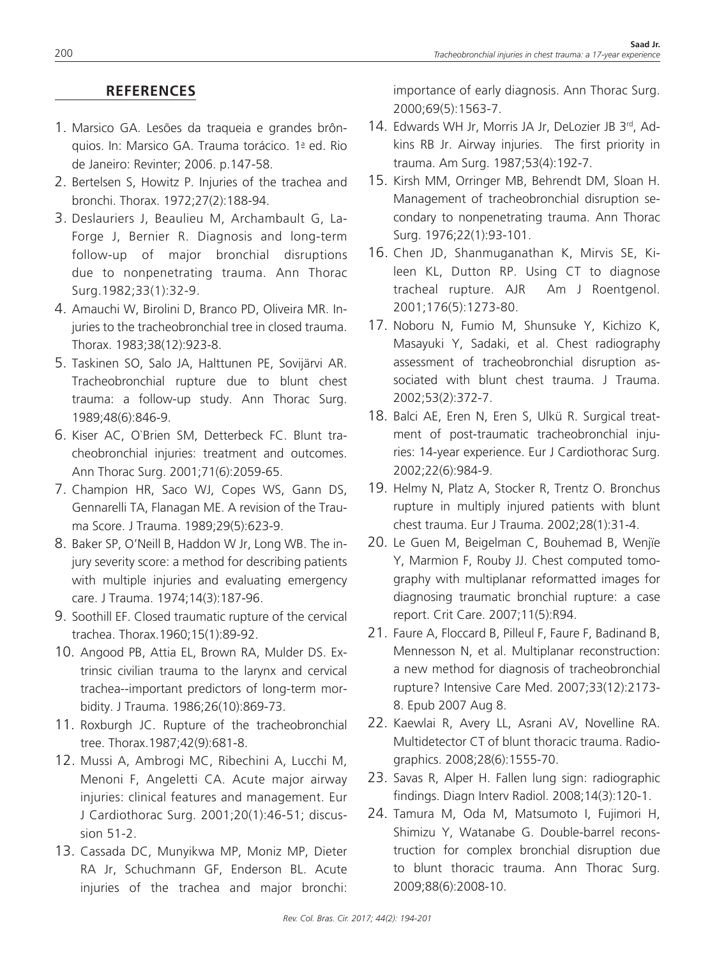# **REFERENCES**

- 1. Marsico GA. Lesões da traqueia e grandes brônquios. In: Marsico GA. Trauma torácico. 1ª ed. Rio de Janeiro: Revinter; 2006. p.147-58.
- 2. Bertelsen S, Howitz P. Injuries of the trachea and bronchi. Thorax. 1972;27(2):188-94.
- 3. Deslauriers J, Beaulieu M, Archambault G, La-Forge J, Bernier R. Diagnosis and long-term follow-up of major bronchial disruptions due to nonpenetrating trauma. Ann Thorac Surg.1982;33(1):32-9.
- 4. Amauchi W, Birolini D, Branco PD, Oliveira MR. Injuries to the tracheobronchial tree in closed trauma. Thorax. 1983;38(12):923-8.
- 5. Taskinen SO, Salo JA, Halttunen PE, Sovijärvi AR. Tracheobronchial rupture due to blunt chest trauma: a follow-up study. Ann Thorac Surg. 1989;48(6):846-9.
- 6. Kiser AC, O`Brien SM, Detterbeck FC. Blunt tracheobronchial injuries: treatment and outcomes. Ann Thorac Surg. 2001;71(6):2059-65.
- 7. Champion HR, Saco WJ, Copes WS, Gann DS, Gennarelli TA, Flanagan ME. A revision of the Trauma Score. J Trauma. 1989;29(5):623-9.
- 8. Baker SP, O'Neill B, Haddon W Jr, Long WB. The injury severity score: a method for describing patients with multiple injuries and evaluating emergency care. J Trauma. 1974;14(3):187-96.
- 9. Soothill EF. Closed traumatic rupture of the cervical trachea. Thorax.1960;15(1):89-92.
- 10. Angood PB, Attia EL, Brown RA, Mulder DS. Extrinsic civilian trauma to the larynx and cervical trachea--important predictors of long-term morbidity. J Trauma. 1986;26(10):869-73.
- 11. Roxburgh JC. Rupture of the tracheobronchial tree. Thorax.1987;42(9):681-8.
- 12. Mussi A, Ambrogi MC, Ribechini A, Lucchi M, Menoni F, Angeletti CA. Acute major airway injuries: clinical features and management. Eur J Cardiothorac Surg. 2001;20(1):46-51; discussion 51-2.
- 13. Cassada DC, Munyikwa MP, Moniz MP, Dieter RA Jr, Schuchmann GF, Enderson BL. Acute injuries of the trachea and major bronchi:

importance of early diagnosis. Ann Thorac Surg. 2000;69(5):1563-7.

- 14. Edwards WH Jr, Morris JA Jr, DeLozier JB 3rd, Adkins RB Jr. Airway injuries. The first priority in trauma. Am Surg. 1987;53(4):192-7.
- 15. Kirsh MM, Orringer MB, Behrendt DM, Sloan H. Management of tracheobronchial disruption secondary to nonpenetrating trauma. Ann Thorac Surg. 1976;22(1):93-101.
- 16. Chen JD, Shanmuganathan K, Mirvis SE, Kileen KL, Dutton RP. Using CT to diagnose tracheal rupture. AJR Am J Roentgenol. 2001;176(5):1273-80.
- 17. Noboru N, Fumio M, Shunsuke Y, Kichizo K, Masayuki Y, Sadaki, et al. Chest radiography assessment of tracheobronchial disruption associated with blunt chest trauma. J Trauma. 2002;53(2):372-7.
- 18. Balci AE, Eren N, Eren S, Ulkü R. Surgical treatment of post-traumatic tracheobronchial injuries: 14-year experience. Eur J Cardiothorac Surg. 2002;22(6):984-9.
- 19. Helmy N, Platz A, Stocker R, Trentz O. Bronchus rupture in multiply injured patients with blunt chest trauma. Eur J Trauma. 2002;28(1):31-4.
- 20. Le Guen M, Beigelman C, Bouhemad B, Wenjïe Y, Marmion F, Rouby JJ. Chest computed tomography with multiplanar reformatted images for diagnosing traumatic bronchial rupture: a case report. Crit Care. 2007;11(5):R94.
- 21. Faure A, Floccard B, Pilleul F, Faure F, Badinand B, Mennesson N, et al. Multiplanar reconstruction: a new method for diagnosis of tracheobronchial rupture? Intensive Care Med. 2007;33(12):2173- 8. Epub 2007 Aug 8.
- 22. Kaewlai R, Avery LL, Asrani AV, Novelline RA. Multidetector CT of blunt thoracic trauma. Radiographics. 2008;28(6):1555-70.
- 23. Savas R, Alper H. Fallen lung sign: radiographic findings. Diagn Interv Radiol. 2008;14(3):120-1.
- 24. Tamura M, Oda M, Matsumoto I, Fujimori H, Shimizu Y, Watanabe G. Double-barrel reconstruction for complex bronchial disruption due to blunt thoracic trauma. Ann Thorac Surg. 2009;88(6):2008-10.